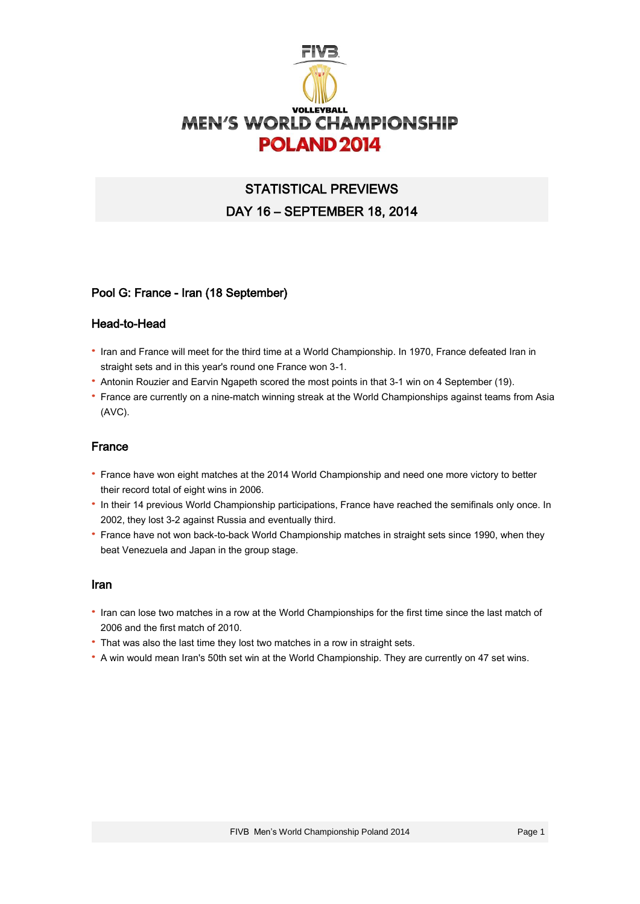

# STATISTICAL PREVIEWS DAY 16 – SEPTEMBER 18, 2014

## Pool G: France - Iran (18 September)

## Head-to-Head

- · Iran and France will meet for the third time at a World Championship. In 1970, France defeated Iran in straight sets and in this year's round one France won 3-1.
- · Antonin Rouzier and Earvin Ngapeth scored the most points in that 3-1 win on 4 September (19).
- · France are currently on a nine-match winning streak at the World Championships against teams from Asia (AVC).

#### France

- · France have won eight matches at the 2014 World Championship and need one more victory to better their record total of eight wins in 2006.
- · In their 14 previous World Championship participations, France have reached the semifinals only once. In 2002, they lost 3-2 against Russia and eventually third.
- · France have not won back-to-back World Championship matches in straight sets since 1990, when they beat Venezuela and Japan in the group stage.

#### Iran

- · Iran can lose two matches in a row at the World Championships for the first time since the last match of 2006 and the first match of 2010.
- · That was also the last time they lost two matches in a row in straight sets.
- · A win would mean Iran's 50th set win at the World Championship. They are currently on 47 set wins.